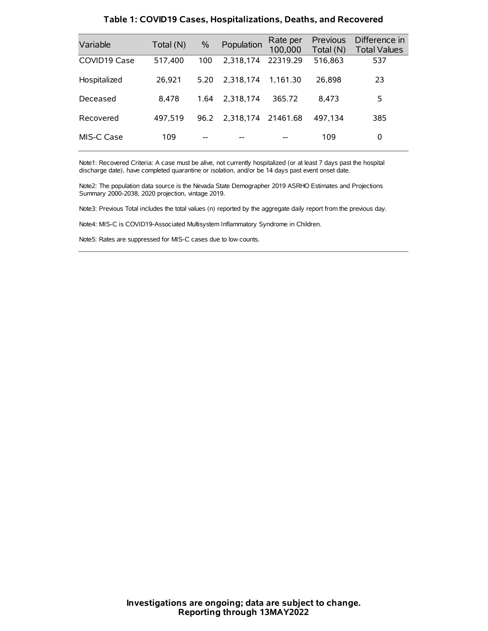| Variable     | Total (N) | $\%$ | Population | Rate per<br>100,000 | Previous<br>Total (N) | Difference in<br><b>Total Values</b> |
|--------------|-----------|------|------------|---------------------|-----------------------|--------------------------------------|
| COVID19 Case | 517,400   | 100  | 2.318.174  | 22319.29            | 516,863               | 537                                  |
| Hospitalized | 26.921    | 5.20 | 2.318.174  | 1.161.30            | 26,898                | 23                                   |
| Deceased     | 8.478     | 1.64 | 2.318.174  | 365.72              | 8.473                 | 5                                    |
| Recovered    | 497.519   | 96.2 | 2,318,174  | 21461.68            | 497.134               | 385                                  |
| MIS-C Case   | 109       | --   |            |                     | 109                   | 0                                    |

#### **Table 1: COVID19 Cases, Hospitalizations, Deaths, and Recovered**

Note1: Recovered Criteria: A case must be alive, not currently hospitalized (or at least 7 days past the hospital discharge date), have completed quarantine or isolation, and/or be 14 days past event onset date.

Note2: The population data source is the Nevada State Demographer 2019 ASRHO Estimates and Projections Summary 2000-2038, 2020 projection, vintage 2019.

Note3: Previous Total includes the total values (n) reported by the aggregate daily report from the previous day.

Note4: MIS-C is COVID19-Associated Multisystem Inflammatory Syndrome in Children.

Note5: Rates are suppressed for MIS-C cases due to low counts.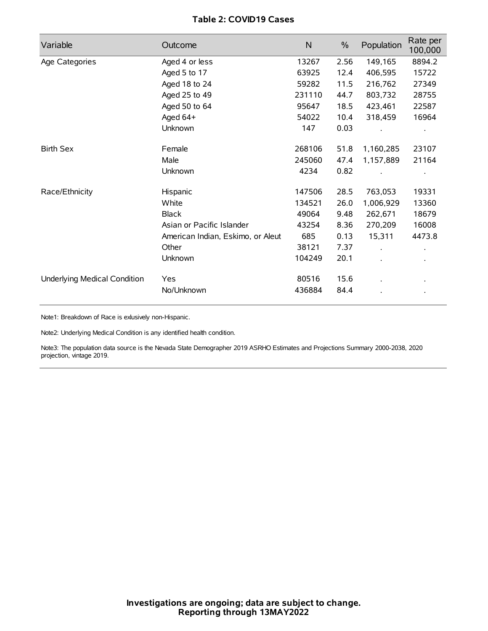# **Table 2: COVID19 Cases**

| Variable                     | Outcome                           | $\mathsf{N}$ | $\%$ | Population           | Rate per<br>100,000 |
|------------------------------|-----------------------------------|--------------|------|----------------------|---------------------|
| Age Categories               | Aged 4 or less                    | 13267        | 2.56 | 149,165              | 8894.2              |
|                              | Aged 5 to 17                      | 63925        | 12.4 | 406,595              | 15722               |
|                              | Aged 18 to 24                     | 59282        | 11.5 | 216,762              | 27349               |
|                              | Aged 25 to 49                     | 231110       | 44.7 | 803,732              | 28755               |
|                              | Aged 50 to 64                     | 95647        | 18.5 | 423,461              | 22587               |
|                              | Aged 64+                          | 54022        | 10.4 | 318,459              | 16964               |
|                              | Unknown                           | 147          | 0.03 |                      |                     |
| <b>Birth Sex</b>             | Female                            | 268106       | 51.8 | 1,160,285            | 23107               |
|                              | Male                              | 245060       | 47.4 | 1,157,889            | 21164               |
|                              | Unknown                           | 4234         | 0.82 |                      |                     |
| Race/Ethnicity               | Hispanic                          | 147506       | 28.5 | 763,053              | 19331               |
|                              | White                             | 134521       | 26.0 | 1,006,929            | 13360               |
|                              | <b>Black</b>                      | 49064        | 9.48 | 262,671              | 18679               |
|                              | Asian or Pacific Islander         | 43254        | 8.36 | 270,209              | 16008               |
|                              | American Indian, Eskimo, or Aleut | 685          | 0.13 | 15,311               | 4473.8              |
|                              | Other                             | 38121        | 7.37 | $\ddot{\phantom{a}}$ |                     |
|                              | Unknown                           | 104249       | 20.1 |                      |                     |
| Underlying Medical Condition | Yes                               | 80516        | 15.6 |                      |                     |
|                              | No/Unknown                        | 436884       | 84.4 |                      |                     |

Note1: Breakdown of Race is exlusively non-Hispanic.

Note2: Underlying Medical Condition is any identified health condition.

Note3: The population data source is the Nevada State Demographer 2019 ASRHO Estimates and Projections Summary 2000-2038, 2020 projection, vintage 2019.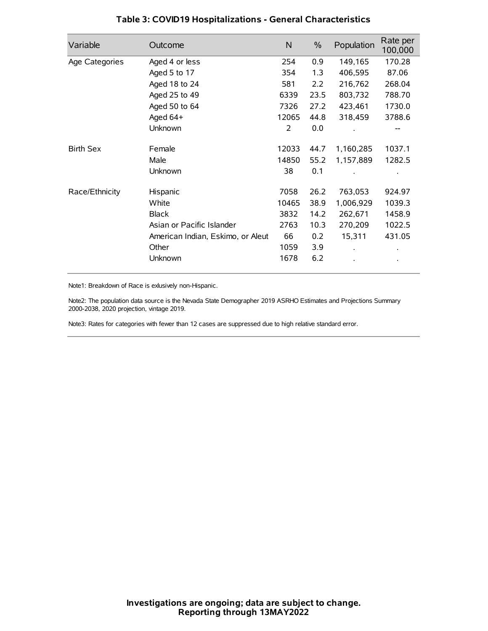| Variable         | Outcome                           | $\mathsf{N}$ | $\%$ | Population | Rate per<br>100,000 |
|------------------|-----------------------------------|--------------|------|------------|---------------------|
| Age Categories   | Aged 4 or less                    | 254          | 0.9  | 149,165    | 170.28              |
|                  | Aged 5 to 17                      | 354          | 1.3  | 406,595    | 87.06               |
|                  | Aged 18 to 24                     | 581          | 2.2  | 216,762    | 268.04              |
|                  | Aged 25 to 49                     | 6339         | 23.5 | 803,732    | 788.70              |
|                  | Aged 50 to 64                     | 7326         | 27.2 | 423,461    | 1730.0              |
|                  | Aged 64+                          | 12065        | 44.8 | 318,459    | 3788.6              |
|                  | Unknown                           | 2            | 0.0  |            | --                  |
| <b>Birth Sex</b> | Female                            | 12033        | 44.7 | 1,160,285  | 1037.1              |
|                  | Male                              | 14850        | 55.2 | 1,157,889  | 1282.5              |
|                  | Unknown                           | 38           | 0.1  |            |                     |
| Race/Ethnicity   | Hispanic                          | 7058         | 26.2 | 763,053    | 924.97              |
|                  | White                             | 10465        | 38.9 | 1,006,929  | 1039.3              |
|                  | <b>Black</b>                      | 3832         | 14.2 | 262,671    | 1458.9              |
|                  | Asian or Pacific Islander         | 2763         | 10.3 | 270,209    | 1022.5              |
|                  | American Indian, Eskimo, or Aleut | 66           | 0.2  | 15,311     | 431.05              |
|                  | Other                             | 1059         | 3.9  |            |                     |
|                  | Unknown                           | 1678         | 6.2  |            |                     |

# **Table 3: COVID19 Hospitalizations - General Characteristics**

Note1: Breakdown of Race is exlusively non-Hispanic.

Note2: The population data source is the Nevada State Demographer 2019 ASRHO Estimates and Projections Summary 2000-2038, 2020 projection, vintage 2019.

Note3: Rates for categories with fewer than 12 cases are suppressed due to high relative standard error.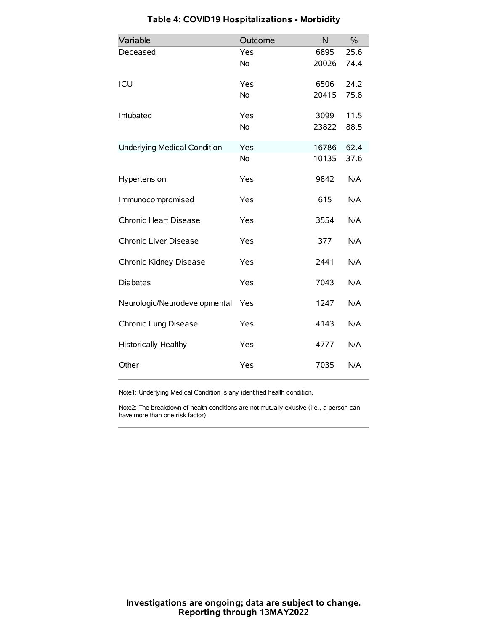| Variable                            | Outcome   | N     | $\frac{0}{0}$ |
|-------------------------------------|-----------|-------|---------------|
| Deceased                            | Yes       | 6895  | 25.6          |
|                                     | No        | 20026 | 74.4          |
| ICU                                 | Yes       | 6506  | 24.2          |
|                                     | <b>No</b> | 20415 | 75.8          |
| Intubated                           | Yes       | 3099  | 11.5          |
|                                     | No        | 23822 | 88.5          |
| <b>Underlying Medical Condition</b> | Yes       | 16786 | 62.4          |
|                                     | <b>No</b> | 10135 | 37.6          |
| Hypertension                        | Yes       | 9842  | N/A           |
| Immunocompromised                   | Yes       | 615   | N/A           |
| Chronic Heart Disease               | Yes       | 3554  | N/A           |
| Chronic Liver Disease               | Yes       | 377   | N/A           |
| Chronic Kidney Disease              | Yes       | 2441  | N/A           |
| <b>Diabetes</b>                     | Yes       | 7043  | N/A           |
| Neurologic/Neurodevelopmental       | Yes       | 1247  | N/A           |
| Chronic Lung Disease                | Yes       | 4143  | N/A           |
| Historically Healthy                | Yes       | 4777  | N/A           |
| Other                               | Yes       | 7035  | N/A           |

# **Table 4: COVID19 Hospitalizations - Morbidity**

Note1: Underlying Medical Condition is any identified health condition.

Note2: The breakdown of health conditions are not mutually exlusive (i.e., a person can have more than one risk factor).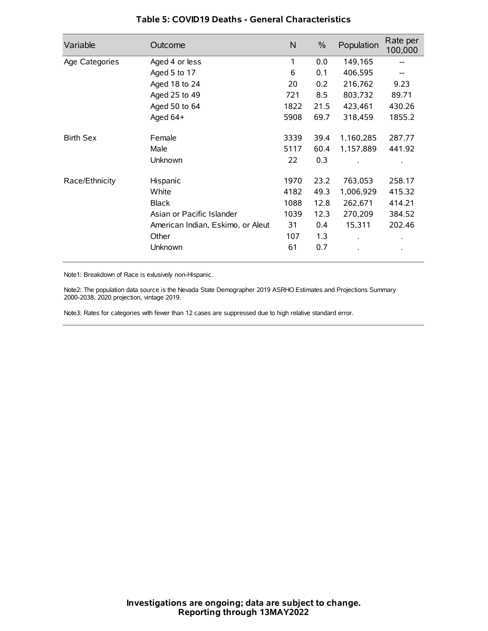| Variable         | Outcome                           | $\mathsf{N}$ | $\%$ | Population           | Rate per<br>100,000 |
|------------------|-----------------------------------|--------------|------|----------------------|---------------------|
| Age Categories   | Aged 4 or less                    | 1            | 0.0  | 149,165              |                     |
|                  | Aged 5 to 17                      | 6            | 0.1  | 406,595              |                     |
|                  | Aged 18 to 24                     | 20           | 0.2  | 216,762              | 9.23                |
|                  | Aged 25 to 49                     | 721          | 8.5  | 803,732              | 89.71               |
|                  | Aged 50 to 64                     | 1822         | 21.5 | 423,461              | 430.26              |
|                  | Aged 64+                          | 5908         | 69.7 | 318,459              | 1855.2              |
| <b>Birth Sex</b> | Female                            | 3339         | 39.4 | 1,160,285            | 287.77              |
|                  | Male                              | 5117         | 60.4 | 1,157,889            | 441.92              |
|                  | Unknown                           | 22           | 0.3  |                      |                     |
| Race/Ethnicity   | Hispanic                          | 1970         | 23.2 | 763,053              | 258.17              |
|                  | White                             | 4182         | 49.3 | 1,006,929            | 415.32              |
|                  | <b>Black</b>                      | 1088         | 12.8 | 262,671              | 414.21              |
|                  | Asian or Pacific Islander         | 1039         | 12.3 | 270,209              | 384.52              |
|                  | American Indian, Eskimo, or Aleut | 31           | 0.4  | 15,311               | 202.46              |
|                  | Other                             | 107          | 1.3  | $\ddot{\phantom{0}}$ | $\bullet$           |
|                  | Unknown                           | 61           | 0.7  |                      | $\bullet$           |

## **Table 5: COVID19 Deaths - General Characteristics**

Note1: Breakdown of Race is exlusively non-Hispanic.

Note2: The population data source is the Nevada State Demographer 2019 ASRHO Estimates and Projections Summary 2000-2038, 2020 projection, vintage 2019.

Note3: Rates for categories with fewer than 12 cases are suppressed due to high relative standard error.